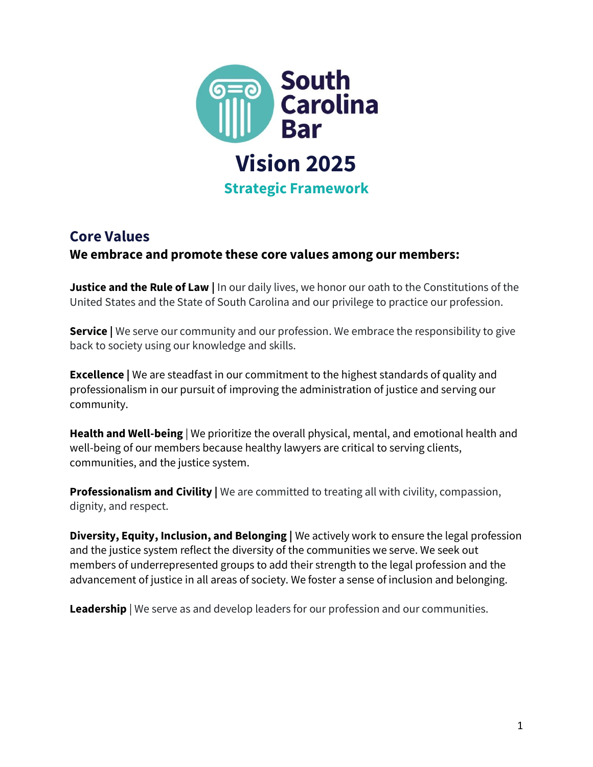

# **Core Values**

#### **We embrace and promote these core values among our members:**

**Justice and the Rule of Law |** In our daily lives, we honor our oath to the Constitutions of the United States and the State of South Carolina and our privilege to practice our profession.

**Service |** We serve our community and our profession. We embrace the responsibility to give back to society using our knowledge and skills.

**Excellence |** We are steadfast in our commitment to the highest standards of quality and professionalism in our pursuit of improving the administration of justice and serving our community.

**Health and Well-being** | We prioritize the overall physical, mental, and emotional health and well-being of our members because healthy lawyers are critical to serving clients, communities, and the justice system.

**Professionalism and Civility** | We are committed to treating all with civility, compassion, dignity, and respect.

**Diversity, Equity, Inclusion, and Belonging |** We actively work to ensure the legal profession and the justice system reflect the diversity of the communities we serve. We seek out members of underrepresented groups to add their strength to the legal profession and the advancement of justice in all areas of society. We foster a sense of inclusion and belonging.

**Leadership** | We serve as and develop leaders for our profession and our communities.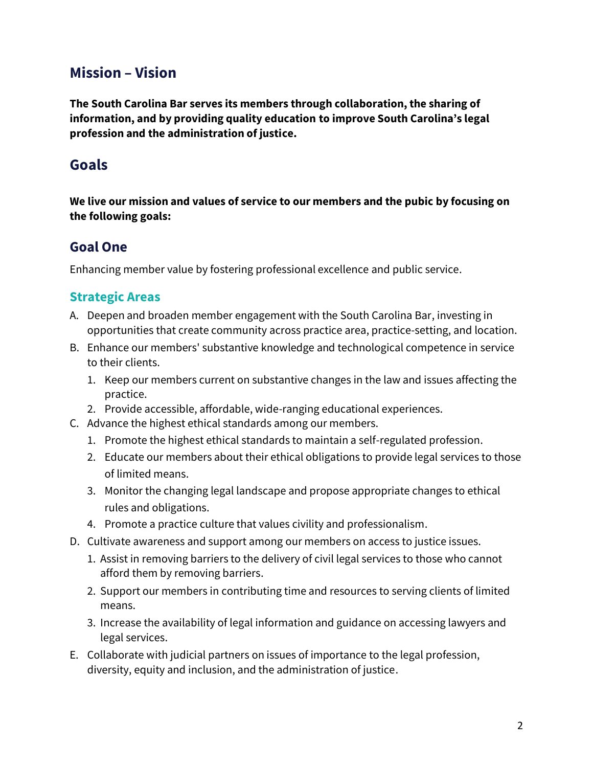# **Mission – Vision**

**The South Carolina Bar serves its members through collaboration, the sharing of information, and by providing quality education to improve South Carolina's legal profession and the administration of justice.** 

## **Goals**

**We live our mission and values of service to our members and the pubic by focusing on the following goals:**

### **Goal One**

Enhancing member value by fostering professional excellence and public service.

### **Strategic Areas**

- A. Deepen and broaden member engagement with the South Carolina Bar, investing in opportunities that create community across practice area, practice-setting, and location.
- B. Enhance our members' substantive knowledge and technological competence in service to their clients.
	- 1. Keep our members current on substantive changes in the law and issues affecting the practice.
	- 2. Provide accessible, affordable, wide-ranging educational experiences.
- C. Advance the highest ethical standards among our members.
	- 1. Promote the highest ethical standards to maintain a self-regulated profession.
	- 2. Educate our members about their ethical obligations to provide legal services to those of limited means.
	- 3. Monitor the changing legal landscape and propose appropriate changes to ethical rules and obligations.
	- 4. Promote a practice culture that values civility and professionalism.
- D. Cultivate awareness and support among our members on access to justice issues.
	- 1. Assist in removing barriers to the delivery of civil legal services to those who cannot afford them by removing barriers.
	- 2. Support our members in contributing time and resources to serving clients of limited means.
	- 3. Increase the availability of legal information and guidance on accessing lawyers and legal services.
- E. Collaborate with judicial partners on issues of importance to the legal profession, diversity, equity and inclusion, and the administration of justice.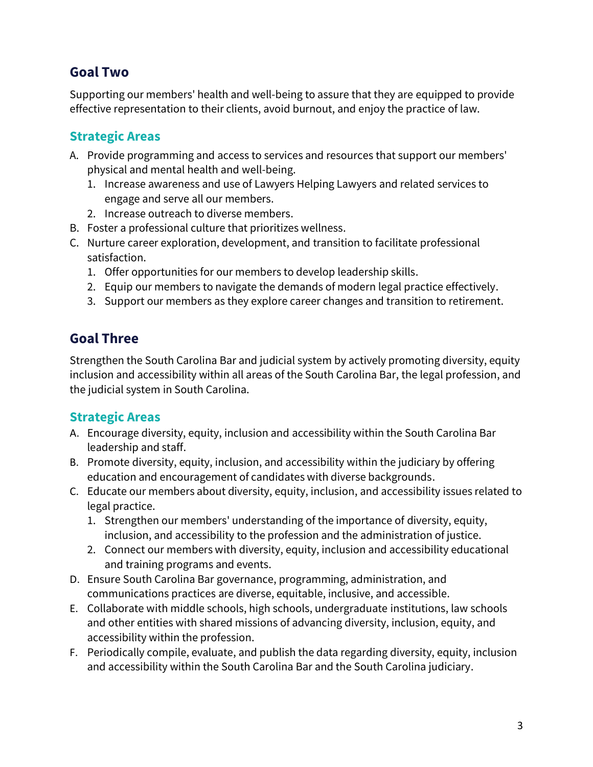## **Goal Two**

Supporting our members' health and well-being to assure that they are equipped to provide effective representation to their clients, avoid burnout, and enjoy the practice of law.

#### **Strategic Areas**

- A. Provide programming and access to services and resources that support our members' physical and mental health and well-being.
	- 1. Increase awareness and use of Lawyers Helping Lawyers and related services to engage and serve all our members.
	- 2. Increase outreach to diverse members.
- B. Foster a professional culture that prioritizes wellness.
- C. Nurture career exploration, development, and transition to facilitate professional satisfaction.
	- 1. Offer opportunities for our members to develop leadership skills.
	- 2. Equip our members to navigate the demands of modern legal practice effectively.
	- 3. Support our members as they explore career changes and transition to retirement.

## **Goal Three**

Strengthen the South Carolina Bar and judicial system by actively promoting diversity, equity inclusion and accessibility within all areas of the South Carolina Bar, the legal profession, and the judicial system in South Carolina.

#### **Strategic Areas**

- A. Encourage diversity, equity, inclusion and accessibility within the South Carolina Bar leadership and staff.
- B. Promote diversity, equity, inclusion, and accessibility within the judiciary by offering education and encouragement of candidates with diverse backgrounds.
- C. Educate our members about diversity, equity, inclusion, and accessibility issues related to legal practice.
	- 1. Strengthen our members' understanding of the importance of diversity, equity, inclusion, and accessibility to the profession and the administration of justice.
	- 2. Connect our members with diversity, equity, inclusion and accessibility educational and training programs and events.
- D. Ensure South Carolina Bar governance, programming, administration, and communications practices are diverse, equitable, inclusive, and accessible.
- E. Collaborate with middle schools, high schools, undergraduate institutions, law schools and other entities with shared missions of advancing diversity, inclusion, equity, and accessibility within the profession.
- F. Periodically compile, evaluate, and publish the data regarding diversity, equity, inclusion and accessibility within the South Carolina Bar and the South Carolina judiciary.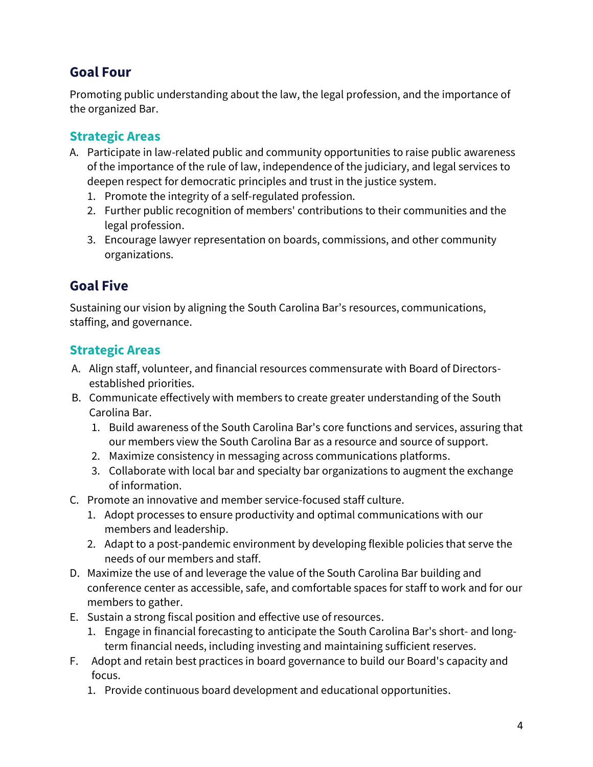## **Goal Four**

Promoting public understanding about the law, the legal profession, and the importance of the organized Bar.

### **Strategic Areas**

- A. Participate in law-related public and community opportunities to raise public awareness of the importance of the rule of law, independence of the judiciary, and legal services to deepen respect for democratic principles and trust in the justice system.
	- 1. Promote the integrity of a self-regulated profession.
	- 2. Further public recognition of members' contributions to their communities and the legal profession.
	- 3. Encourage lawyer representation on boards, commissions, and other community organizations.

# **Goal Five**

Sustaining our vision by aligning the South Carolina Bar's resources, communications, staffing, and governance.

### **Strategic Areas**

- A. Align staff, volunteer, and financial resources commensurate with Board of Directorsestablished priorities.
- B. Communicate effectively with members to create greater understanding of the South Carolina Bar.
	- 1. Build awareness of the South Carolina Bar's core functions and services, assuring that our members view the South Carolina Bar as a resource and source of support.
	- 2. Maximize consistency in messaging across communications platforms.
	- 3. Collaborate with local bar and specialty bar organizations to augment the exchange of information.
- C. Promote an innovative and member service-focused staff culture.
	- 1. Adopt processes to ensure productivity and optimal communications with our members and leadership.
	- 2. Adapt to a post-pandemic environment by developing flexible policies that serve the needs of our members and staff.
- D. Maximize the use of and leverage the value of the South Carolina Bar building and conference center as accessible, safe, and comfortable spaces for staff to work and for our members to gather.
- E. Sustain a strong fiscal position and effective use of resources.
	- 1. Engage in financial forecasting to anticipate the South Carolina Bar's short- and longterm financial needs, including investing and maintaining sufficient reserves.
- F. Adopt and retain best practices in board governance to build our Board's capacity and focus.
	- 1. Provide continuous board development and educational opportunities.